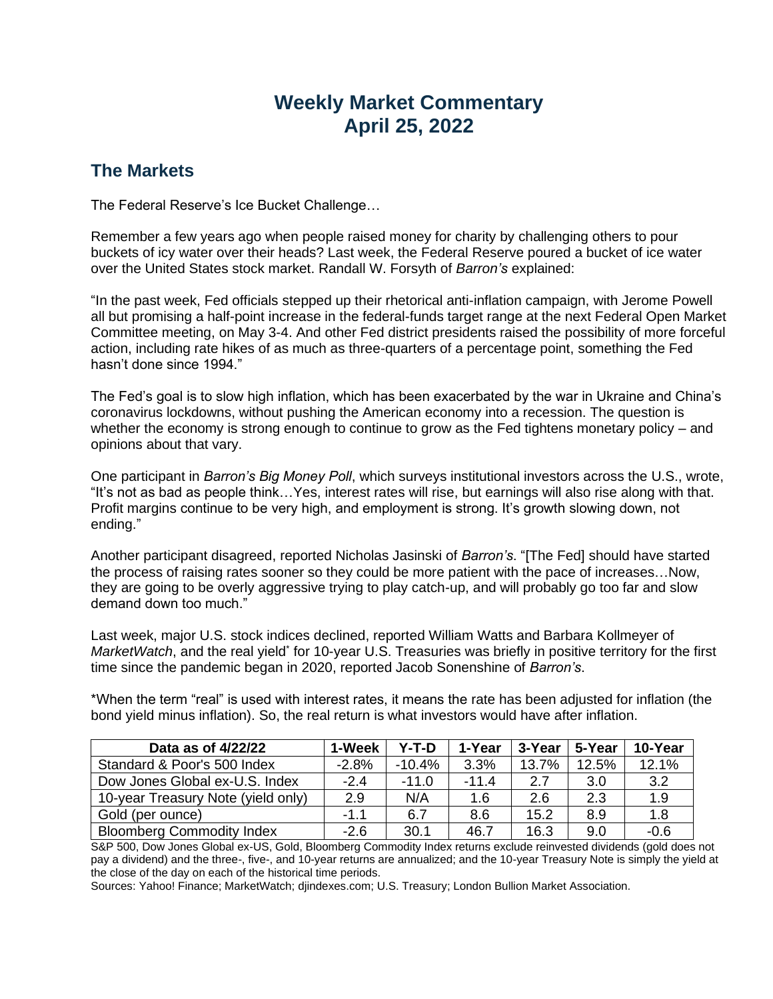# **Weekly Market Commentary April 25, 2022**

## **The Markets**

The Federal Reserve's Ice Bucket Challenge…

Remember a few years ago when people raised money for charity by challenging others to pour buckets of icy water over their heads? Last week, the Federal Reserve poured a bucket of ice water over the United States stock market. Randall W. Forsyth of *Barron's* explained:

"In the past week, Fed officials stepped up their rhetorical anti-inflation campaign, with Jerome Powell all but promising a half-point increase in the federal-funds target range at the next Federal Open Market Committee meeting, on May 3-4. And other Fed district presidents raised the possibility of more forceful action, including rate hikes of as much as three-quarters of a percentage point, something the Fed hasn't done since 1994"

The Fed's goal is to slow high inflation, which has been exacerbated by the war in Ukraine and China's coronavirus lockdowns, without pushing the American economy into a recession. The question is whether the economy is strong enough to continue to grow as the Fed tightens monetary policy – and opinions about that vary.

One participant in *Barron's Big Money Poll*, which surveys institutional investors across the U.S., wrote, "It's not as bad as people think…Yes, interest rates will rise, but earnings will also rise along with that. Profit margins continue to be very high, and employment is strong. It's growth slowing down, not ending."

Another participant disagreed, reported Nicholas Jasinski of *Barron's*. "[The Fed] should have started the process of raising rates sooner so they could be more patient with the pace of increases…Now, they are going to be overly aggressive trying to play catch-up, and will probably go too far and slow demand down too much."

Last week, major U.S. stock indices declined, reported William Watts and Barbara Kollmeyer of MarketWatch, and the real yield<sup>\*</sup> for 10-year U.S. Treasuries was briefly in positive territory for the first time since the pandemic began in 2020, reported Jacob Sonenshine of *Barron's*.

\*When the term "real" is used with interest rates, it means the rate has been adjusted for inflation (the bond yield minus inflation). So, the real return is what investors would have after inflation.

| Data as of 4/22/22                 | 1-Week  | Y-T-D    | 1-Year  | 3-Year | 5-Year | 10-Year |
|------------------------------------|---------|----------|---------|--------|--------|---------|
| Standard & Poor's 500 Index        | $-2.8%$ | $-10.4%$ | 3.3%    | 13.7%  | 12.5%  | 12.1%   |
| Dow Jones Global ex-U.S. Index     | $-2.4$  | $-11.0$  | $-11.4$ | 2.7    | 3.0    | 3.2     |
| 10-year Treasury Note (yield only) | 2.9     | N/A      | 1.6     | 2.6    | 2.3    | 1.9     |
| Gold (per ounce)                   | $-1.1$  | 6.7      | 8.6     | 15.2   | 8.9    | 1.8     |
| <b>Bloomberg Commodity Index</b>   | $-2.6$  | 30.1     | 46.7    | 16.3   | 9.0    | $-0.6$  |

S&P 500, Dow Jones Global ex-US, Gold, Bloomberg Commodity Index returns exclude reinvested dividends (gold does not pay a dividend) and the three-, five-, and 10-year returns are annualized; and the 10-year Treasury Note is simply the yield at the close of the day on each of the historical time periods.

Sources: Yahoo! Finance; MarketWatch; djindexes.com; U.S. Treasury; London Bullion Market Association.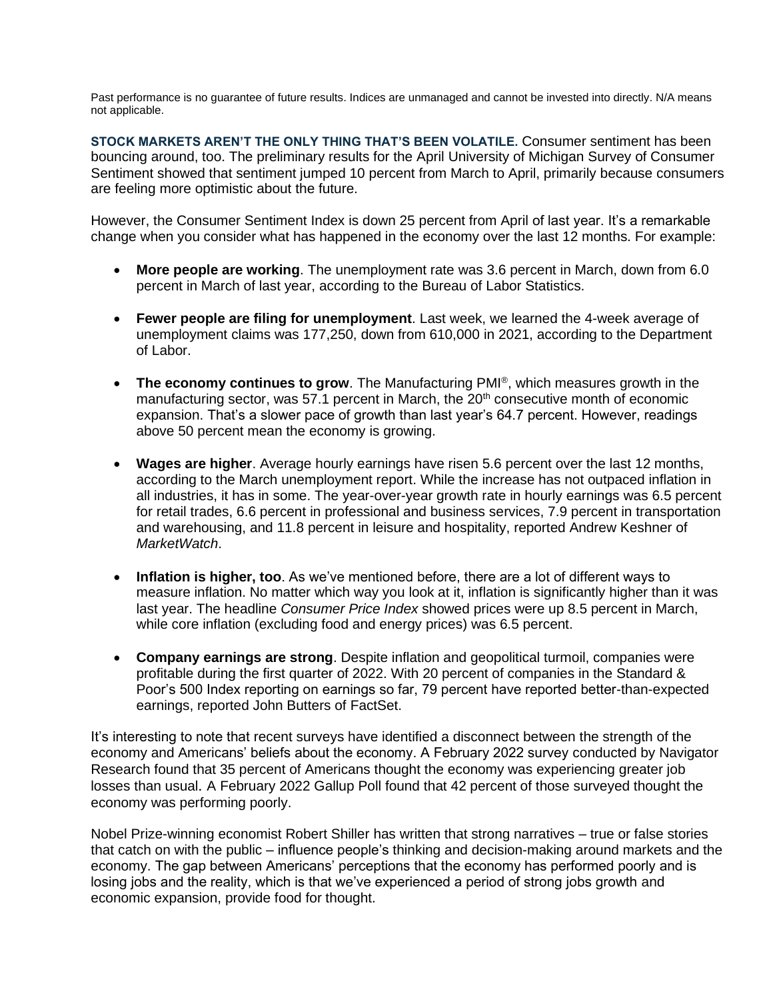Past performance is no guarantee of future results. Indices are unmanaged and cannot be invested into directly. N/A means not applicable.

**STOCK MARKETS AREN'T THE ONLY THING THAT'S BEEN VOLATILE.** Consumer sentiment has been bouncing around, too. The preliminary results for the April University of Michigan Survey of Consumer Sentiment showed that sentiment jumped 10 percent from March to April, primarily because consumers are feeling more optimistic about the future.

However, the Consumer Sentiment Index is down 25 percent from April of last year. It's a remarkable change when you consider what has happened in the economy over the last 12 months. For example:

- **More people are working**. The unemployment rate was 3.6 percent in March, down from 6.0 percent in March of last year, according to the Bureau of Labor Statistics.
- **Fewer people are filing for unemployment**. Last week, we learned the 4-week average of unemployment claims was 177,250, down from 610,000 in 2021, according to the Department of Labor.
- **The economy continues to grow**. The Manufacturing PMI® , which measures growth in the manufacturing sector, was 57.1 percent in March, the  $20<sup>th</sup>$  consecutive month of economic expansion. That's a slower pace of growth than last year's 64.7 percent. However, readings above 50 percent mean the economy is growing.
- **Wages are higher**. Average hourly earnings have risen 5.6 percent over the last 12 months, according to the March unemployment report. While the increase has not outpaced inflation in all industries, it has in some. The year-over-year growth rate in hourly earnings was 6.5 percent for retail trades, 6.6 percent in professional and business services, 7.9 percent in transportation and warehousing, and 11.8 percent in leisure and hospitality, reported Andrew Keshner of *MarketWatch*.
- **Inflation is higher, too**. As we've mentioned before, there are a lot of different ways to measure inflation. No matter which way you look at it, inflation is significantly higher than it was last year. The headline *Consumer Price Index* showed prices were up 8.5 percent in March, while core inflation (excluding food and energy prices) was 6.5 percent.
- **Company earnings are strong**. Despite inflation and geopolitical turmoil, companies were profitable during the first quarter of 2022. With 20 percent of companies in the Standard & Poor's 500 Index reporting on earnings so far, 79 percent have reported better-than-expected earnings, reported John Butters of FactSet.

It's interesting to note that recent surveys have identified a disconnect between the strength of the economy and Americans' beliefs about the economy. A February 2022 survey conducted by Navigator Research found that 35 percent of Americans thought the economy was experiencing greater job losses than usual. A February 2022 Gallup Poll found that 42 percent of those surveyed thought the economy was performing poorly.

Nobel Prize-winning economist Robert Shiller has written that strong narratives – true or false stories that catch on with the public – influence people's thinking and decision-making around markets and the economy. The gap between Americans' perceptions that the economy has performed poorly and is losing jobs and the reality, which is that we've experienced a period of strong jobs growth and economic expansion, provide food for thought.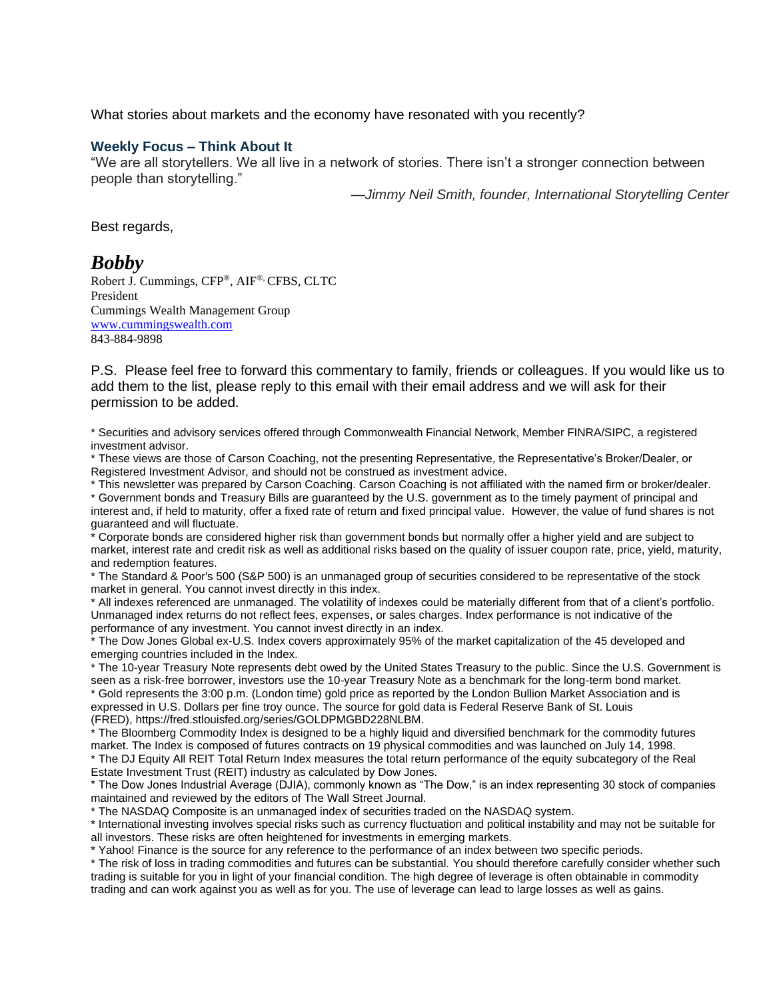What stories about markets and the economy have resonated with you recently?

### **Weekly Focus – Think About It**

"We are all storytellers. We all live in a network of stories. There isn't a stronger connection between people than storytelling."

*—Jimmy Neil Smith, founder, International Storytelling Center*

Best regards,

### *Bobby*

Robert J. Cummings, CFP®, AIF®, CFBS, CLTC President Cummings Wealth Management Group [www.cummingswealth.com](http://www.cummingswealth.com/) 843-884-9898

P.S. Please feel free to forward this commentary to family, friends or colleagues. If you would like us to add them to the list, please reply to this email with their email address and we will ask for their permission to be added.

\* Securities and advisory services offered through Commonwealth Financial Network, Member FINRA/SIPC, a registered investment advisor.

\* These views are those of Carson Coaching, not the presenting Representative, the Representative's Broker/Dealer, or Registered Investment Advisor, and should not be construed as investment advice.

\* This newsletter was prepared by Carson Coaching. Carson Coaching is not affiliated with the named firm or broker/dealer. \* Government bonds and Treasury Bills are guaranteed by the U.S. government as to the timely payment of principal and interest and, if held to maturity, offer a fixed rate of return and fixed principal value. However, the value of fund shares is not guaranteed and will fluctuate.

\* Corporate bonds are considered higher risk than government bonds but normally offer a higher yield and are subject to market, interest rate and credit risk as well as additional risks based on the quality of issuer coupon rate, price, yield, maturity, and redemption features.

\* The Standard & Poor's 500 (S&P 500) is an unmanaged group of securities considered to be representative of the stock market in general. You cannot invest directly in this index.

\* All indexes referenced are unmanaged. The volatility of indexes could be materially different from that of a client's portfolio. Unmanaged index returns do not reflect fees, expenses, or sales charges. Index performance is not indicative of the performance of any investment. You cannot invest directly in an index.

\* The Dow Jones Global ex-U.S. Index covers approximately 95% of the market capitalization of the 45 developed and emerging countries included in the Index.

\* The 10-year Treasury Note represents debt owed by the United States Treasury to the public. Since the U.S. Government is seen as a risk-free borrower, investors use the 10-year Treasury Note as a benchmark for the long-term bond market.

\* Gold represents the 3:00 p.m. (London time) gold price as reported by the London Bullion Market Association and is expressed in U.S. Dollars per fine troy ounce. The source for gold data is Federal Reserve Bank of St. Louis (FRED), https://fred.stlouisfed.org/series/GOLDPMGBD228NLBM.

\* The Bloomberg Commodity Index is designed to be a highly liquid and diversified benchmark for the commodity futures market. The Index is composed of futures contracts on 19 physical commodities and was launched on July 14, 1998. \* The DJ Equity All REIT Total Return Index measures the total return performance of the equity subcategory of the Real Estate Investment Trust (REIT) industry as calculated by Dow Jones.

\* The Dow Jones Industrial Average (DJIA), commonly known as "The Dow," is an index representing 30 stock of companies maintained and reviewed by the editors of The Wall Street Journal.

\* The NASDAQ Composite is an unmanaged index of securities traded on the NASDAQ system.

\* International investing involves special risks such as currency fluctuation and political instability and may not be suitable for all investors. These risks are often heightened for investments in emerging markets.

\* Yahoo! Finance is the source for any reference to the performance of an index between two specific periods.

\* The risk of loss in trading commodities and futures can be substantial. You should therefore carefully consider whether such trading is suitable for you in light of your financial condition. The high degree of leverage is often obtainable in commodity trading and can work against you as well as for you. The use of leverage can lead to large losses as well as gains.